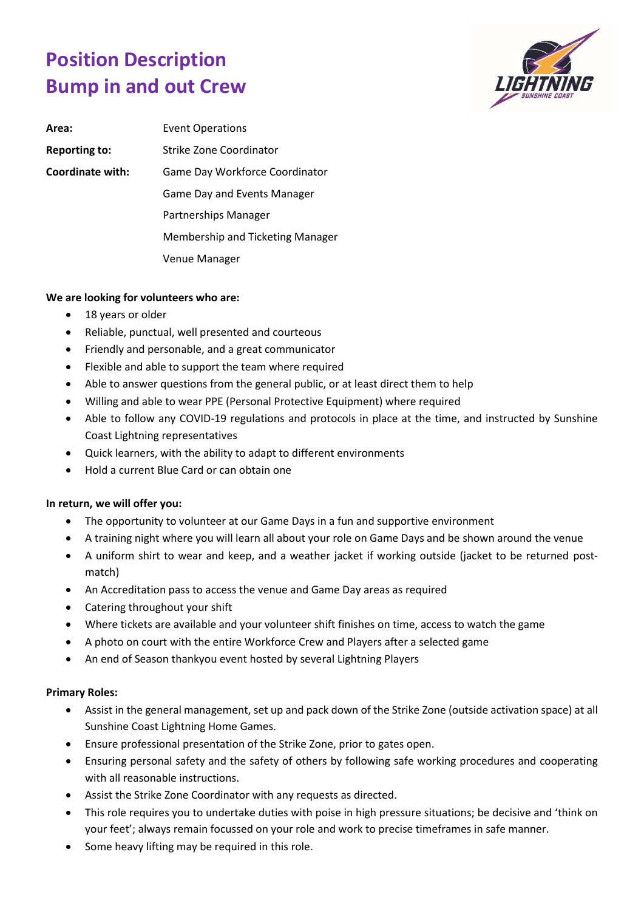## **Position Description Bump in and out Crew**



| Area:                | <b>Event Operations</b>                 |
|----------------------|-----------------------------------------|
| <b>Reporting to:</b> | Strike Zone Coordinator                 |
| Coordinate with:     | Game Day Workforce Coordinator          |
|                      | Game Day and Events Manager             |
|                      | Partnerships Manager                    |
|                      | <b>Membership and Ticketing Manager</b> |
|                      | Venue Manager                           |

## **We are looking for volunteers who are:**

- 18 years or older
- Reliable, punctual, well presented and courteous
- Friendly and personable, and a great communicator
- Flexible and able to support the team where required
- Able to answer questions from the general public, or at least direct them to help
- Willing and able to wear PPE (Personal Protective Equipment) where required
- Able to follow any COVID-19 regulations and protocols in place at the time, and instructed by Sunshine Coast Lightning representatives
- Quick learners, with the ability to adapt to different environments
- Hold a current Blue Card or can obtain one

## **In return, we will offer you:**

- The opportunity to volunteer at our Game Days in a fun and supportive environment
- A training night where you will learn all about your role on Game Days and be shown around the venue
- A uniform shirt to wear and keep, and a weather jacket if working outside (jacket to be returned postmatch)
- An Accreditation pass to access the venue and Game Day areas as required
- Catering throughout your shift
- Where tickets are available and your volunteer shift finishes on time, access to watch the game
- A photo on court with the entire Workforce Crew and Players after a selected game
- An end of Season thankyou event hosted by several Lightning Players

## **Primary Roles:**

- Assist in the general management, set up and pack down of the Strike Zone (outside activation space) at all Sunshine Coast Lightning Home Games.
- Ensure professional presentation of the Strike Zone, prior to gates open.
- Ensuring personal safety and the safety of others by following safe working procedures and cooperating with all reasonable instructions.
- Assist the Strike Zone Coordinator with any requests as directed.
- This role requires you to undertake duties with poise in high pressure situations; be decisive and 'think on your feet'; always remain focussed on your role and work to precise timeframes in safe manner.
- Some heavy lifting may be required in this role.